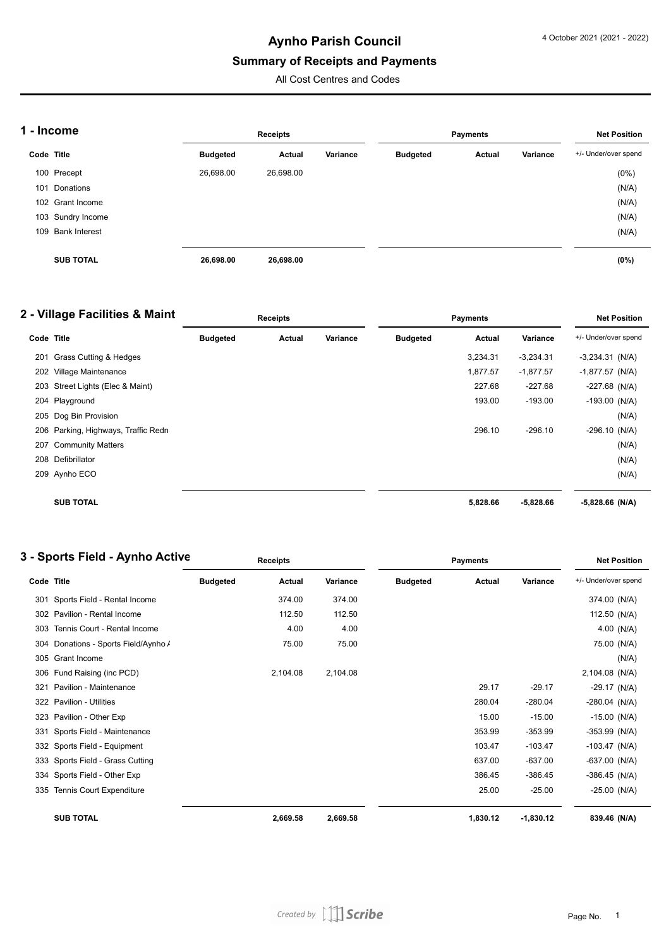### **Aynho Parish Council**

#### **Summary of Receipts and Payments**

All Cost Centres and Codes

| - Income   |                   | Receipts        |           |          | <b>Payments</b> |               |          | <b>Net Position</b>  |  |
|------------|-------------------|-----------------|-----------|----------|-----------------|---------------|----------|----------------------|--|
| Code Title |                   | <b>Budgeted</b> | Actual    | Variance | <b>Budgeted</b> | <b>Actual</b> | Variance | +/- Under/over spend |  |
|            | 100 Precept       | 26,698.00       | 26,698.00 |          |                 |               |          | (0%)                 |  |
| 101        | Donations         |                 |           |          |                 |               |          | (N/A)                |  |
|            | 102 Grant Income  |                 |           |          |                 |               |          | (N/A)                |  |
|            | 103 Sundry Income |                 |           |          |                 |               |          | (N/A)                |  |
|            | 109 Bank Interest |                 |           |          |                 |               |          | (N/A)                |  |
|            | <b>SUB TOTAL</b>  | 26,698.00       | 26,698.00 |          |                 |               |          | (0%)                 |  |

| 2 - Village Facilities & Maint |                                     | <b>Receipts</b> |        |          | <b>Payments</b> |          |             | <b>Net Position</b>  |  |
|--------------------------------|-------------------------------------|-----------------|--------|----------|-----------------|----------|-------------|----------------------|--|
| Code Title                     |                                     | <b>Budgeted</b> | Actual | Variance | <b>Budgeted</b> | Actual   | Variance    | +/- Under/over spend |  |
| 201                            | Grass Cutting & Hedges              |                 |        |          |                 | 3,234.31 | $-3,234.31$ | $-3,234.31$ (N/A)    |  |
|                                | 202 Village Maintenance             |                 |        |          |                 | 1,877.57 | $-1,877.57$ | $-1,877.57$ (N/A)    |  |
|                                | 203 Street Lights (Elec & Maint)    |                 |        |          |                 | 227.68   | $-227.68$   | $-227.68$ (N/A)      |  |
|                                | 204 Playground                      |                 |        |          |                 | 193.00   | $-193.00$   | $-193.00$ (N/A)      |  |
|                                | 205 Dog Bin Provision               |                 |        |          |                 |          |             | (N/A)                |  |
|                                | 206 Parking, Highways, Traffic Redn |                 |        |          |                 | 296.10   | $-296.10$   | $-296.10$ (N/A)      |  |
| 207                            | <b>Community Matters</b>            |                 |        |          |                 |          |             | (N/A)                |  |
|                                | 208 Defibrillator                   |                 |        |          |                 |          |             | (N/A)                |  |
|                                | 209 Aynho ECO                       |                 |        |          |                 |          |             | (N/A)                |  |
|                                | <b>SUB TOTAL</b>                    |                 |        |          |                 | 5,828.66 | $-5,828.66$ | $-5,828.66$ (N/A)    |  |

|  | 3 - Sports Field - Aynho Active |
|--|---------------------------------|
|--|---------------------------------|

| Code Title |                                      | <b>Budgeted</b> | Actual   | Variance | <b>Budgeted</b> | Actual   | Variance    | +/- Under/over spend |
|------------|--------------------------------------|-----------------|----------|----------|-----------------|----------|-------------|----------------------|
| 301        | Sports Field - Rental Income         |                 | 374.00   | 374.00   |                 |          |             | 374.00 (N/A)         |
|            | 302 Pavilion - Rental Income         |                 | 112.50   | 112.50   |                 |          |             | 112.50 (N/A)         |
| 303        | Tennis Court - Rental Income         |                 | 4.00     | 4.00     |                 |          |             | 4.00 $(N/A)$         |
|            | 304 Donations - Sports Field/Aynho / |                 | 75.00    | 75.00    |                 |          |             | 75.00 (N/A)          |
|            | 305 Grant Income                     |                 |          |          |                 |          |             | (N/A)                |
|            | 306 Fund Raising (inc PCD)           |                 | 2,104.08 | 2,104.08 |                 |          |             | 2,104.08 (N/A)       |
| 321        | Pavilion - Maintenance               |                 |          |          |                 | 29.17    | $-29.17$    | $-29.17$ (N/A)       |
|            | 322 Pavilion - Utilities             |                 |          |          |                 | 280.04   | $-280.04$   | $-280.04$ (N/A)      |
|            | 323 Pavilion - Other Exp             |                 |          |          |                 | 15.00    | $-15.00$    | $-15.00$ (N/A)       |
| 331        | Sports Field - Maintenance           |                 |          |          |                 | 353.99   | $-353.99$   | $-353.99$ (N/A)      |
|            | 332 Sports Field - Equipment         |                 |          |          |                 | 103.47   | $-103.47$   | $-103.47$ (N/A)      |
|            | 333 Sports Field - Grass Cutting     |                 |          |          |                 | 637.00   | $-637.00$   | $-637.00$ (N/A)      |
|            | 334 Sports Field - Other Exp         |                 |          |          |                 | 386.45   | $-386.45$   | $-386.45$ (N/A)      |
|            | 335 Tennis Court Expenditure         |                 |          |          |                 | 25.00    | $-25.00$    | $-25.00$ (N/A)       |
|            | <b>SUB TOTAL</b>                     |                 | 2,669.58 | 2,669.58 |                 | 1,830.12 | $-1,830.12$ | 839.46 (N/A)         |

**Receipts Payments**

**Net Position**